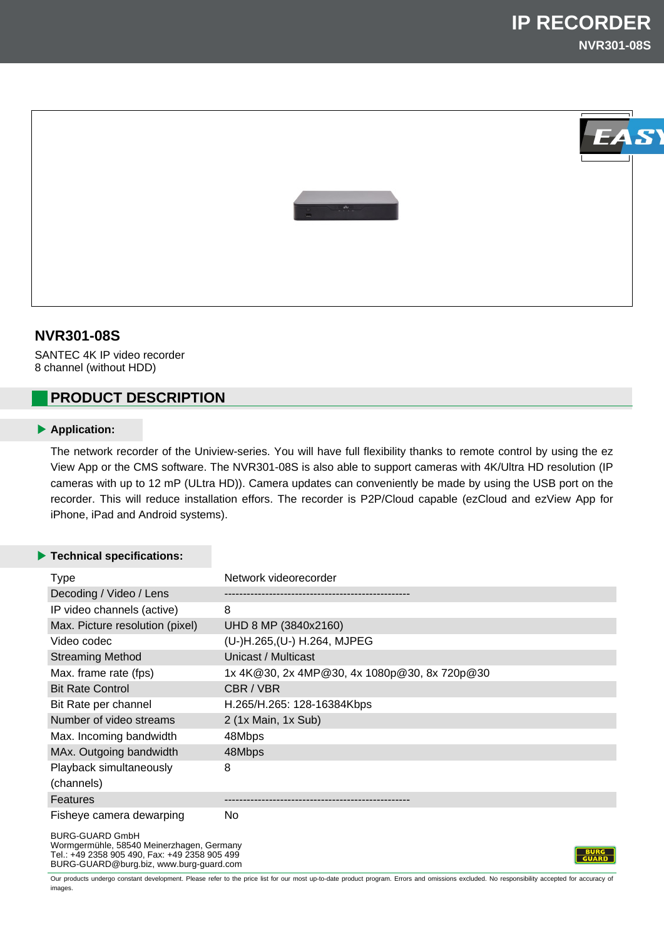

# **NVR301-08S**

SANTEC 4K IP video recorder 8 channel (without HDD)

# **PRODUCT DESCRIPTION**

### **Application:**

The network recorder of the Uniview-series. You will have full flexibility thanks to remote control by using the ez View App or the CMS software. The NVR301-08S is also able to support cameras with 4K/Ultra HD resolution (IP cameras with up to 12 mP (ULtra HD)). Camera updates can conveniently be made by using the USB port on the recorder. This will reduce installation effors. The recorder is P2P/Cloud capable (ezCloud and ezView App for iPhone, iPad and Android systems).

### **Technical specifications:**

| <b>Type</b>                                                                                                          | Network videorecorder                        |
|----------------------------------------------------------------------------------------------------------------------|----------------------------------------------|
| Decoding / Video / Lens                                                                                              |                                              |
| IP video channels (active)                                                                                           | 8                                            |
| Max. Picture resolution (pixel)                                                                                      | UHD 8 MP (3840x2160)                         |
| Video codec                                                                                                          | (U-)H.265, (U-) H.264, MJPEG                 |
| <b>Streaming Method</b>                                                                                              | Unicast / Multicast                          |
| Max. frame rate (fps)                                                                                                | 1x 4K@30, 2x 4MP@30, 4x 1080p@30, 8x 720p@30 |
| <b>Bit Rate Control</b>                                                                                              | CBR / VBR                                    |
| Bit Rate per channel                                                                                                 | H.265/H.265: 128-16384Kbps                   |
| Number of video streams                                                                                              | 2 (1x Main, 1x Sub)                          |
| Max. Incoming bandwidth                                                                                              | 48Mbps                                       |
| MAx. Outgoing bandwidth                                                                                              | 48Mbps                                       |
| Playback simultaneously                                                                                              | 8                                            |
| (channels)                                                                                                           |                                              |
| <b>Features</b>                                                                                                      |                                              |
| Fisheye camera dewarping                                                                                             | No.                                          |
| <b>BURG-GUARD GmbH</b><br>Wormgermühle, 58540 Meinerzhagen, Germany<br>Tel.: +49 2358 905 490, Fax: +49 2358 905 499 |                                              |

BURG-GUARD@burg.biz, www.burg-guard.com Our products undergo constant development. Please refer to the price list for our most up-to-date product program. Errors and omissions excluded. No responsibility accepted for accuracy of

images.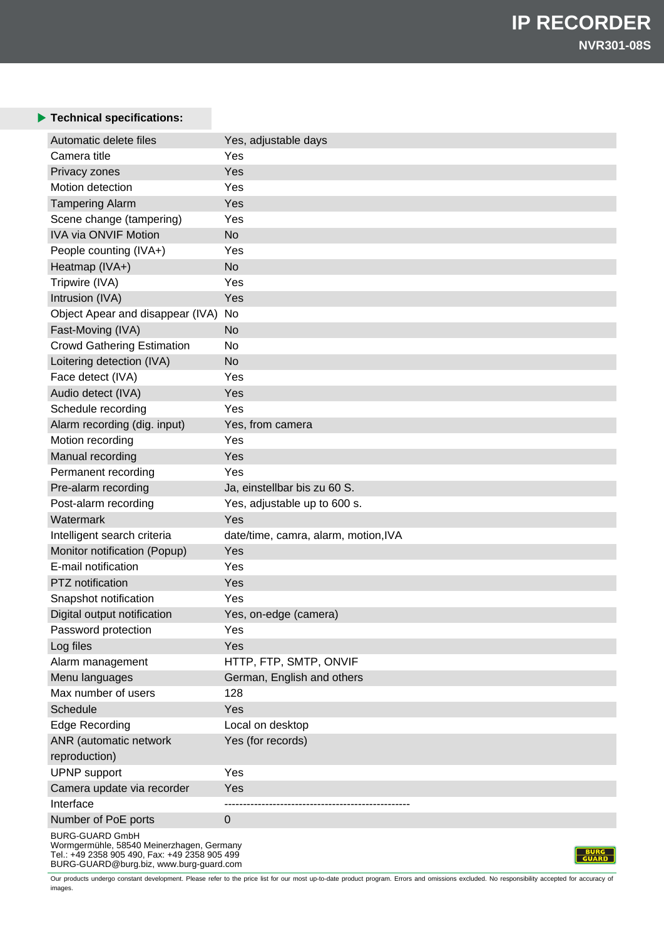### **Technical specifications:**

| Automatic delete files                                                                                                                                          | Yes, adjustable days                 |
|-----------------------------------------------------------------------------------------------------------------------------------------------------------------|--------------------------------------|
| Camera title                                                                                                                                                    | Yes                                  |
| Privacy zones                                                                                                                                                   | Yes                                  |
| Motion detection                                                                                                                                                | Yes                                  |
| <b>Tampering Alarm</b>                                                                                                                                          | Yes                                  |
| Scene change (tampering)                                                                                                                                        | Yes                                  |
| <b>IVA via ONVIF Motion</b>                                                                                                                                     | <b>No</b>                            |
| People counting (IVA+)                                                                                                                                          | Yes                                  |
| Heatmap (IVA+)                                                                                                                                                  | <b>No</b>                            |
| Tripwire (IVA)                                                                                                                                                  | Yes                                  |
| Intrusion (IVA)                                                                                                                                                 | Yes                                  |
| Object Apear and disappear (IVA)                                                                                                                                | No                                   |
| Fast-Moving (IVA)                                                                                                                                               | <b>No</b>                            |
| <b>Crowd Gathering Estimation</b>                                                                                                                               | No                                   |
| Loitering detection (IVA)                                                                                                                                       | <b>No</b>                            |
| Face detect (IVA)                                                                                                                                               | Yes                                  |
| Audio detect (IVA)                                                                                                                                              | Yes                                  |
| Schedule recording                                                                                                                                              | Yes                                  |
| Alarm recording (dig. input)                                                                                                                                    | Yes, from camera                     |
| Motion recording                                                                                                                                                | Yes                                  |
| Manual recording                                                                                                                                                | Yes                                  |
| Permanent recording                                                                                                                                             | Yes                                  |
| Pre-alarm recording                                                                                                                                             | Ja, einstellbar bis zu 60 S.         |
| Post-alarm recording                                                                                                                                            | Yes, adjustable up to 600 s.         |
| Watermark                                                                                                                                                       | Yes                                  |
| Intelligent search criteria                                                                                                                                     | date/time, camra, alarm, motion, IVA |
| Monitor notification (Popup)                                                                                                                                    | Yes                                  |
| E-mail notification                                                                                                                                             | Yes                                  |
| PTZ notification                                                                                                                                                | Yes                                  |
| Snapshot notification                                                                                                                                           | Yes                                  |
| Digital output notification                                                                                                                                     |                                      |
|                                                                                                                                                                 | Yes, on-edge (camera)<br>Yes         |
| Password protection                                                                                                                                             |                                      |
| Log files                                                                                                                                                       | Yes                                  |
| Alarm management                                                                                                                                                | HTTP, FTP, SMTP, ONVIF               |
| Menu languages                                                                                                                                                  | German, English and others           |
| Max number of users                                                                                                                                             | 128                                  |
| Schedule                                                                                                                                                        | Yes                                  |
| <b>Edge Recording</b>                                                                                                                                           | Local on desktop                     |
| ANR (automatic network                                                                                                                                          | Yes (for records)                    |
| reproduction)                                                                                                                                                   |                                      |
| <b>UPNP</b> support                                                                                                                                             | Yes                                  |
| Camera update via recorder                                                                                                                                      | Yes                                  |
| Interface                                                                                                                                                       |                                      |
| Number of PoE ports                                                                                                                                             | $\mathbf 0$                          |
| <b>BURG-GUARD GmbH</b><br>Wormgermühle, 58540 Meinerzhagen, Germany<br>Tel.: +49 2358 905 490, Fax: +49 2358 905 499<br>BURG-GUARD@burg.biz, www.burg-guard.com | <b>GUARD</b>                         |

Our products undergo constant development. Please refer to the price list for our most up-to-date product program. Errors and omissions excluded. No responsibility accepted for accuracy of images.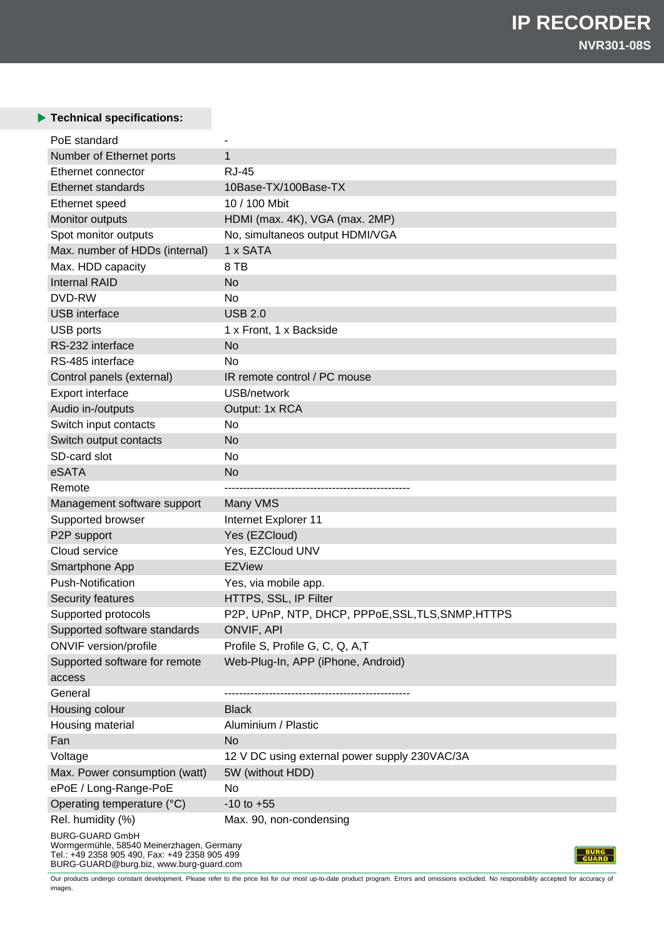## **Technical specifications:**

| PoE standard                                                  |                                                                       |
|---------------------------------------------------------------|-----------------------------------------------------------------------|
| Number of Ethernet ports                                      | $\mathbf 1$                                                           |
| Ethernet connector                                            | <b>RJ-45</b>                                                          |
| <b>Ethernet standards</b>                                     | 10Base-TX/100Base-TX                                                  |
| Ethernet speed                                                | 10 / 100 Mbit                                                         |
| Monitor outputs                                               | HDMI (max. 4K), VGA (max. 2MP)                                        |
| Spot monitor outputs                                          | No, simultaneos output HDMI/VGA                                       |
| Max. number of HDDs (internal)                                | 1 x SATA                                                              |
| Max. HDD capacity                                             | 8 TB                                                                  |
| <b>Internal RAID</b>                                          | <b>No</b>                                                             |
| DVD-RW                                                        | No                                                                    |
| <b>USB</b> interface                                          | <b>USB 2.0</b>                                                        |
| USB ports                                                     | 1 x Front, 1 x Backside                                               |
| RS-232 interface                                              | <b>No</b>                                                             |
| RS-485 interface                                              | No                                                                    |
| Control panels (external)                                     | IR remote control / PC mouse                                          |
| Export interface                                              | USB/network                                                           |
| Audio in-/outputs                                             | Output: 1x RCA                                                        |
| Switch input contacts                                         | No                                                                    |
| Switch output contacts                                        | <b>No</b>                                                             |
| SD-card slot                                                  | No                                                                    |
| eSATA                                                         | <b>No</b>                                                             |
| Remote                                                        |                                                                       |
|                                                               |                                                                       |
|                                                               |                                                                       |
| Management software support                                   | Many VMS                                                              |
| Supported browser                                             | Internet Explorer 11                                                  |
| P2P support<br>Cloud service                                  | Yes (EZCloud)<br>Yes, EZCloud UNV                                     |
| Smartphone App                                                | <b>EZView</b>                                                         |
| <b>Push-Notification</b>                                      | Yes, via mobile app.                                                  |
| Security features                                             | HTTPS, SSL, IP Filter                                                 |
|                                                               | P2P, UPnP, NTP, DHCP, PPPoE, SSL, TLS, SNMP, HTTPS                    |
| Supported protocols                                           |                                                                       |
| Supported software standards                                  | ONVIF, API                                                            |
| <b>ONVIF</b> version/profile<br>Supported software for remote | Profile S, Profile G, C, Q, A,T<br>Web-Plug-In, APP (iPhone, Android) |
| access                                                        |                                                                       |
| General                                                       |                                                                       |
| Housing colour                                                | <b>Black</b>                                                          |
| Housing material                                              | Aluminium / Plastic                                                   |
| Fan                                                           | <b>No</b>                                                             |
| Voltage                                                       | 12 V DC using external power supply 230VAC/3A                         |
| Max. Power consumption (watt)                                 | 5W (without HDD)                                                      |
| ePoE / Long-Range-PoE                                         | No                                                                    |
| Operating temperature (°C)                                    | $-10$ to $+55$                                                        |
| Rel. humidity (%)                                             | Max. 90, non-condensing                                               |

BURG-GUARD@burg.biz, www.burg-guard.com

Our products undergo constant development. Please refer to the price list for our most up-to-date product program. Errors and omissions excluded. No responsibility accepted for accuracy of images.